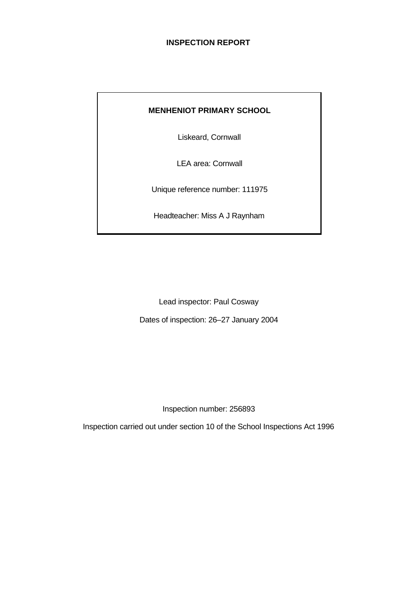# **INSPECTION REPORT**

# **MENHENIOT PRIMARY SCHOOL**

Liskeard, Cornwall

LEA area: Cornwall

Unique reference number: 111975

Headteacher: Miss A J Raynham

Lead inspector: Paul Cosway

Dates of inspection: 26–27 January 2004

Inspection number: 256893

Inspection carried out under section 10 of the School Inspections Act 1996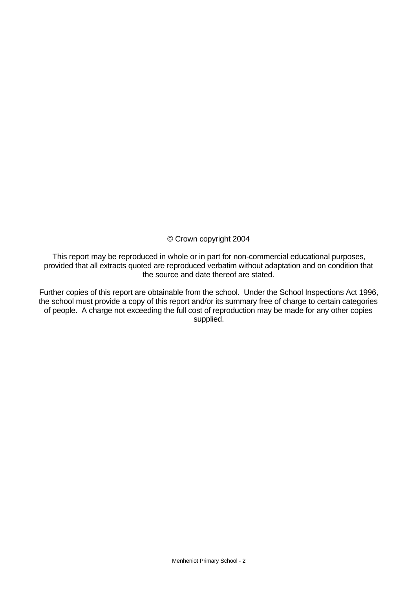© Crown copyright 2004

This report may be reproduced in whole or in part for non-commercial educational purposes, provided that all extracts quoted are reproduced verbatim without adaptation and on condition that the source and date thereof are stated.

Further copies of this report are obtainable from the school. Under the School Inspections Act 1996, the school must provide a copy of this report and/or its summary free of charge to certain categories of people. A charge not exceeding the full cost of reproduction may be made for any other copies supplied.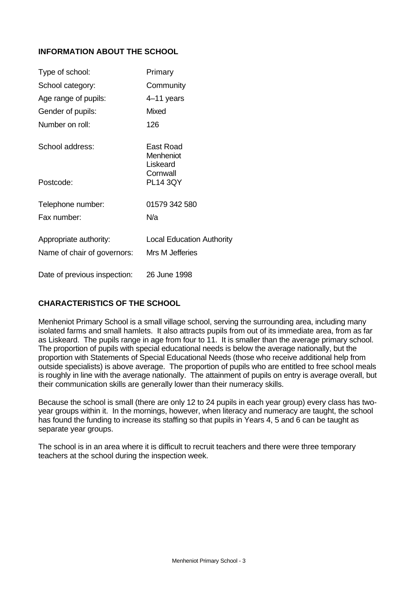# **INFORMATION ABOUT THE SCHOOL**

| Type of school:              | Primary                            |
|------------------------------|------------------------------------|
| School category:             | Community                          |
| Age range of pupils:         | 4–11 years                         |
| Gender of pupils:            | Mixed                              |
| Number on roll:              | 126                                |
| School address:              | East Road<br>Menheniot<br>Liskeard |
| Postcode:                    | Cornwall<br><b>PL14 3QY</b>        |
| Telephone number:            | 01579 342 580                      |
| Fax number:                  | N/a                                |
| Appropriate authority:       | <b>Local Education Authority</b>   |
| Name of chair of governors:  | Mrs M Jefferies                    |
| Date of previous inspection: | 26 June 1998                       |

### **CHARACTERISTICS OF THE SCHOOL**

Menheniot Primary School is a small village school, serving the surrounding area, including many isolated farms and small hamlets. It also attracts pupils from out of its immediate area, from as far as Liskeard. The pupils range in age from four to 11. It is smaller than the average primary school. The proportion of pupils with special educational needs is below the average nationally, but the proportion with Statements of Special Educational Needs (those who receive additional help from outside specialists) is above average. The proportion of pupils who are entitled to free school meals is roughly in line with the average nationally. The attainment of pupils on entry is average overall, but their communication skills are generally lower than their numeracy skills.

Because the school is small (there are only 12 to 24 pupils in each year group) every class has twoyear groups within it. In the mornings, however, when literacy and numeracy are taught, the school has found the funding to increase its staffing so that pupils in Years 4, 5 and 6 can be taught as separate year groups.

The school is in an area where it is difficult to recruit teachers and there were three temporary teachers at the school during the inspection week.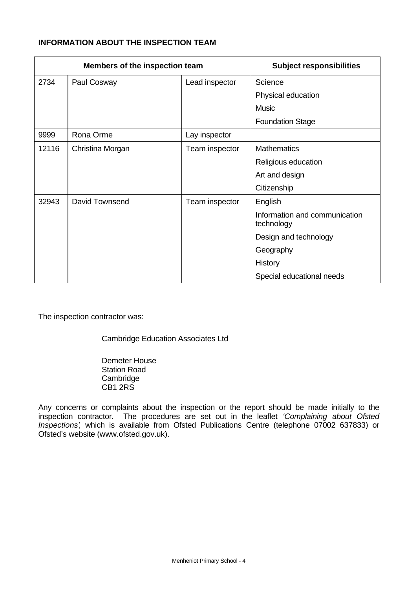# **INFORMATION ABOUT THE INSPECTION TEAM**

| Members of the inspection team |                  | <b>Subject responsibilities</b> |                                             |
|--------------------------------|------------------|---------------------------------|---------------------------------------------|
| 2734                           | Paul Cosway      | Lead inspector                  | Science                                     |
|                                |                  |                                 | Physical education                          |
|                                |                  |                                 | <b>Music</b>                                |
|                                |                  |                                 | <b>Foundation Stage</b>                     |
| 9999                           | Rona Orme        | Lay inspector                   |                                             |
| 12116                          | Christina Morgan | Team inspector                  | <b>Mathematics</b>                          |
|                                |                  |                                 | Religious education                         |
|                                |                  |                                 | Art and design                              |
|                                |                  |                                 | Citizenship                                 |
| 32943                          | David Townsend   | Team inspector                  | English                                     |
|                                |                  |                                 | Information and communication<br>technology |
|                                |                  |                                 | Design and technology                       |
|                                |                  |                                 | Geography                                   |
|                                |                  |                                 | History                                     |
|                                |                  |                                 | Special educational needs                   |

The inspection contractor was:

Cambridge Education Associates Ltd

Demeter House Station Road **Cambridge** CB1 2RS

Any concerns or complaints about the inspection or the report should be made initially to the inspection contractor. The procedures are set out in the leaflet *'Complaining about Ofsted Inspections'*, which is available from Ofsted Publications Centre (telephone 07002 637833) or Ofsted's website (www.ofsted.gov.uk).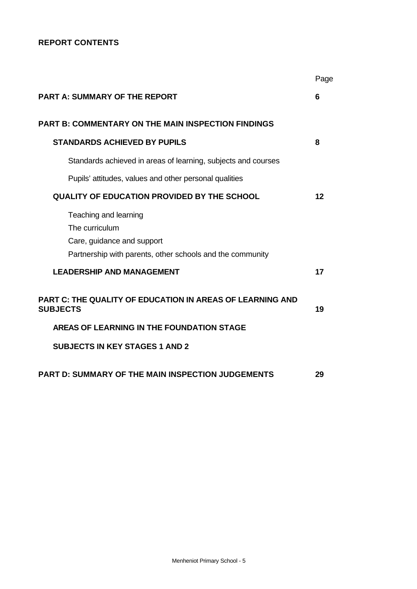# **REPORT CONTENTS**

|                                                                                                                                    | Page |
|------------------------------------------------------------------------------------------------------------------------------------|------|
| <b>PART A: SUMMARY OF THE REPORT</b>                                                                                               | 6    |
| <b>PART B: COMMENTARY ON THE MAIN INSPECTION FINDINGS</b>                                                                          |      |
| <b>STANDARDS ACHIEVED BY PUPILS</b>                                                                                                | 8    |
| Standards achieved in areas of learning, subjects and courses                                                                      |      |
| Pupils' attitudes, values and other personal qualities                                                                             |      |
| <b>QUALITY OF EDUCATION PROVIDED BY THE SCHOOL</b>                                                                                 | 12   |
| Teaching and learning<br>The curriculum<br>Care, guidance and support<br>Partnership with parents, other schools and the community |      |
| <b>LEADERSHIP AND MANAGEMENT</b>                                                                                                   | 17   |
| <b>PART C: THE QUALITY OF EDUCATION IN AREAS OF LEARNING AND</b><br><b>SUBJECTS</b>                                                | 19   |
| AREAS OF LEARNING IN THE FOUNDATION STAGE                                                                                          |      |
| <b>SUBJECTS IN KEY STAGES 1 AND 2</b>                                                                                              |      |
| <b>PART D: SUMMARY OF THE MAIN INSPECTION JUDGEMENTS</b>                                                                           | 29   |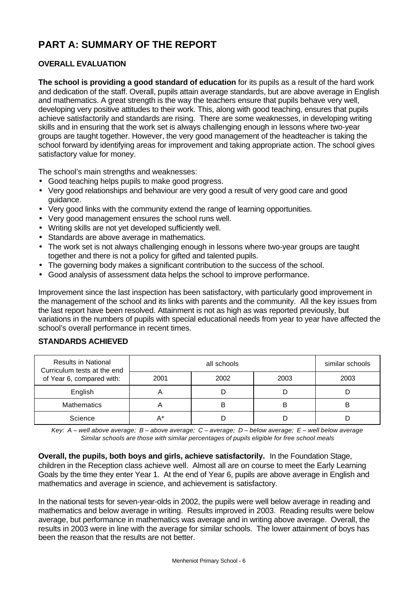# **PART A: SUMMARY OF THE REPORT**

# **OVERALL EVALUATION**

**The school is providing a good standard of education** for its pupils as a result of the hard work and dedication of the staff. Overall, pupils attain average standards, but are above average in English and mathematics. A great strength is the way the teachers ensure that pupils behave very well, developing very positive attitudes to their work. This, along with good teaching, ensures that pupils achieve satisfactorily and standards are rising. There are some weaknesses, in developing writing skills and in ensuring that the work set is always challenging enough in lessons where two-year groups are taught together. However, the very good management of the headteacher is taking the school forward by identifying areas for improvement and taking appropriate action. The school gives satisfactory value for money.

The school's main strengths and weaknesses:

- Good teaching helps pupils to make good progress.
- Very good relationships and behaviour are very good a result of very good care and good guidance.
- Very good links with the community extend the range of learning opportunities.
- Very good management ensures the school runs well.
- Writing skills are not yet developed sufficiently well.
- Standards are above average in mathematics.
- The work set is not always challenging enough in lessons where two-year groups are taught together and there is not a policy for gifted and talented pupils.
- The governing body makes a significant contribution to the success of the school.
- Good analysis of assessment data helps the school to improve performance.

Improvement since the last inspection has been satisfactory, with particularly good improvement in the management of the school and its links with parents and the community. All the key issues from the last report have been resolved. Attainment is not as high as was reported previously, but variations in the numbers of pupils with special educational needs from year to year have affected the school's overall performance in recent times.

# **STANDARDS ACHIEVED**

| <b>Results in National</b><br>Curriculum tests at the end |      | similar schools |      |      |
|-----------------------------------------------------------|------|-----------------|------|------|
| of Year 6, compared with:                                 | 2001 | 2002            | 2003 | 2003 |
| English                                                   |      |                 |      |      |
| <b>Mathematics</b>                                        |      | B               | B    | B    |
| Science                                                   | А*   |                 |      |      |

*Key: A – well above average; B – above average; C – average; D – below average; E – well below average Similar schools are those with similar percentages of pupils eligible for free school meals*

**Overall, the pupils, both boys and girls, achieve satisfactorily.** In the Foundation Stage, children in the Reception class achieve well. Almost all are on course to meet the Early Learning Goals by the time they enter Year 1. At the end of Year 6, pupils are above average in English and mathematics and average in science, and achievement is satisfactory.

In the national tests for seven-year-olds in 2002, the pupils were well below average in reading and mathematics and below average in writing. Results improved in 2003. Reading results were below average, but performance in mathematics was average and in writing above average. Overall, the results in 2003 were in line with the average for similar schools. The lower attainment of boys has been the reason that the results are not better.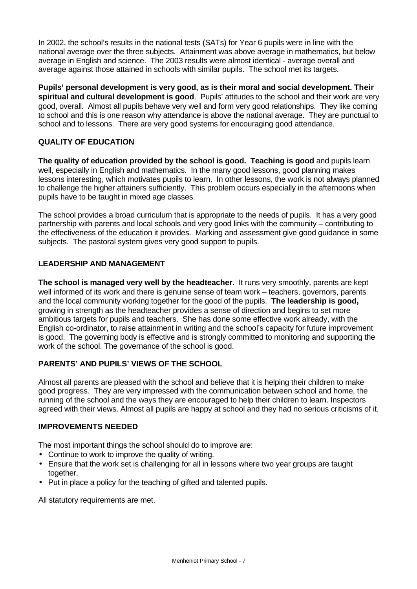In 2002, the school's results in the national tests (SATs) for Year 6 pupils were in line with the national average over the three subjects. Attainment was above average in mathematics, but below average in English and science. The 2003 results were almost identical - average overall and average against those attained in schools with similar pupils. The school met its targets.

**Pupils' personal development is very good, as is their moral and social development. Their spiritual and cultural development is good**. Pupils' attitudes to the school and their work are very good, overall. Almost all pupils behave very well and form very good relationships. They like coming to school and this is one reason why attendance is above the national average. They are punctual to school and to lessons. There are very good systems for encouraging good attendance.

# **QUALITY OF EDUCATION**

**The quality of education provided by the school is good. Teaching is good** and pupils learn well, especially in English and mathematics. In the many good lessons, good planning makes lessons interesting, which motivates pupils to learn. In other lessons, the work is not always planned to challenge the higher attainers sufficiently. This problem occurs especially in the afternoons when pupils have to be taught in mixed age classes.

The school provides a broad curriculum that is appropriate to the needs of pupils. It has a very good partnership with parents and local schools and very good links with the community – contributing to the effectiveness of the education it provides. Marking and assessment give good guidance in some subjects. The pastoral system gives very good support to pupils.

# **LEADERSHIP AND MANAGEMENT**

**The school is managed very well by the headteacher**. It runs very smoothly, parents are kept well informed of its work and there is genuine sense of team work – teachers, governors, parents and the local community working together for the good of the pupils. **The leadership is good,** growing in strength as the headteacher provides a sense of direction and begins to set more ambitious targets for pupils and teachers. She has done some effective work already, with the English co-ordinator, to raise attainment in writing and the school's capacity for future improvement is good. The governing body is effective and is strongly committed to monitoring and supporting the work of the school. The governance of the school is good.

# **PARENTS' AND PUPILS' VIEWS OF THE SCHOOL**

Almost all parents are pleased with the school and believe that it is helping their children to make good progress. They are very impressed with the communication between school and home, the running of the school and the ways they are encouraged to help their children to learn. Inspectors agreed with their views. Almost all pupils are happy at school and they had no serious criticisms of it.

### **IMPROVEMENTS NEEDED**

The most important things the school should do to improve are:

- Continue to work to improve the quality of writing.
- Ensure that the work set is challenging for all in lessons where two year groups are taught together.
- Put in place a policy for the teaching of gifted and talented pupils.

All statutory requirements are met.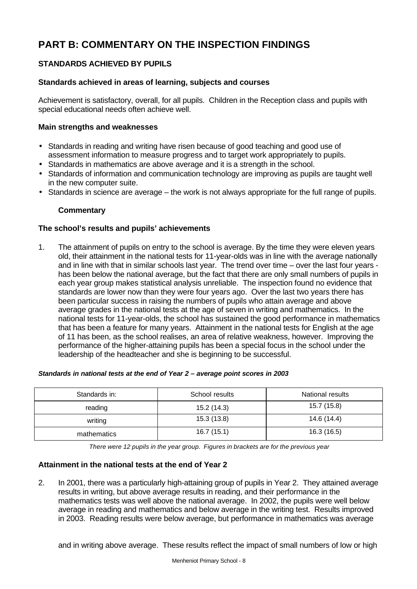# **PART B: COMMENTARY ON THE INSPECTION FINDINGS**

# **STANDARDS ACHIEVED BY PUPILS**

# **Standards achieved in areas of learning, subjects and courses**

Achievement is satisfactory, overall, for all pupils. Children in the Reception class and pupils with special educational needs often achieve well.

### **Main strengths and weaknesses**

- Standards in reading and writing have risen because of good teaching and good use of assessment information to measure progress and to target work appropriately to pupils.
- Standards in mathematics are above average and it is a strength in the school.
- Standards of information and communication technology are improving as pupils are taught well in the new computer suite.
- Standards in science are average the work is not always appropriate for the full range of pupils.

# **Commentary**

### **The school's results and pupils' achievements**

1. The attainment of pupils on entry to the school is average. By the time they were eleven years old, their attainment in the national tests for 11-year-olds was in line with the average nationally and in line with that in similar schools last year. The trend over time – over the last four years has been below the national average, but the fact that there are only small numbers of pupils in each year group makes statistical analysis unreliable. The inspection found no evidence that standards are lower now than they were four years ago. Over the last two years there has been particular success in raising the numbers of pupils who attain average and above average grades in the national tests at the age of seven in writing and mathematics. In the national tests for 11-year-olds, the school has sustained the good performance in mathematics that has been a feature for many years. Attainment in the national tests for English at the age of 11 has been, as the school realises, an area of relative weakness, however. Improving the performance of the higher-attaining pupils has been a special focus in the school under the leadership of the headteacher and she is beginning to be successful.

#### *Standards in national tests at the end of Year 2 – average point scores in 2003*

| Standards in: | School results | National results |
|---------------|----------------|------------------|
| reading       | 15.2 (14.3)    | 15.7 (15.8)      |
| writing       | 15.3(13.8)     | 14.6 (14.4)      |
| mathematics   | 16.7(15.1)     | 16.3 (16.5)      |

*There were 12 pupils in the year group. Figures in brackets are for the previous year*

### **Attainment in the national tests at the end of Year 2**

2. In 2001, there was a particularly high-attaining group of pupils in Year 2. They attained average results in writing, but above average results in reading, and their performance in the mathematics tests was well above the national average. In 2002, the pupils were well below average in reading and mathematics and below average in the writing test. Results improved in 2003. Reading results were below average, but performance in mathematics was average

and in writing above average. These results reflect the impact of small numbers of low or high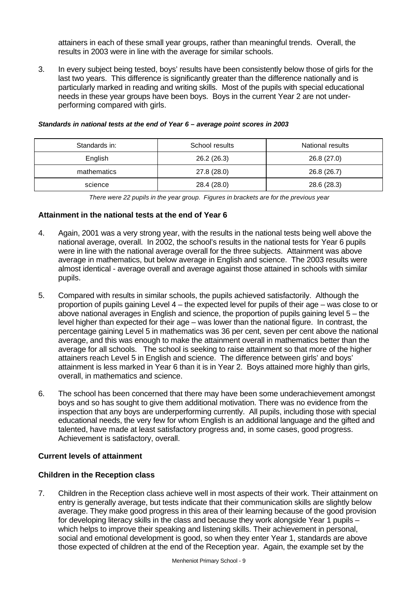attainers in each of these small year groups, rather than meaningful trends. Overall, the results in 2003 were in line with the average for similar schools.

3. In every subject being tested, boys' results have been consistently below those of girls for the last two years. This difference is significantly greater than the difference nationally and is particularly marked in reading and writing skills. Most of the pupils with special educational needs in these year groups have been boys. Boys in the current Year 2 are not underperforming compared with girls.

| Standards in: | School results |             |
|---------------|----------------|-------------|
| English       | 26.2(26.3)     | 26.8 (27.0) |
| mathematics   | 27.8 (28.0)    | 26.8 (26.7) |
| science       | 28.4 (28.0)    | 28.6 (28.3) |

#### *Standards in national tests at the end of Year 6 – average point scores in 2003*

*There were 22 pupils in the year group. Figures in brackets are for the previous year*

# **Attainment in the national tests at the end of Year 6**

- 4. Again, 2001 was a very strong year, with the results in the national tests being well above the national average, overall. In 2002, the school's results in the national tests for Year 6 pupils were in line with the national average overall for the three subjects. Attainment was above average in mathematics, but below average in English and science. The 2003 results were almost identical - average overall and average against those attained in schools with similar pupils.
- 5. Compared with results in similar schools, the pupils achieved satisfactorily. Although the proportion of pupils gaining Level 4 – the expected level for pupils of their age – was close to or above national averages in English and science, the proportion of pupils gaining level 5 – the level higher than expected for their age – was lower than the national figure. In contrast, the percentage gaining Level 5 in mathematics was 36 per cent, seven per cent above the national average, and this was enough to make the attainment overall in mathematics better than the average for all schools. The school is seeking to raise attainment so that more of the higher attainers reach Level 5 in English and science. The difference between girls' and boys' attainment is less marked in Year 6 than it is in Year 2. Boys attained more highly than girls, overall, in mathematics and science.
- 6. The school has been concerned that there may have been some underachievement amongst boys and so has sought to give them additional motivation. There was no evidence from the inspection that any boys are underperforming currently. All pupils, including those with special educational needs, the very few for whom English is an additional language and the gifted and talented, have made at least satisfactory progress and, in some cases, good progress. Achievement is satisfactory, overall.

### **Current levels of attainment**

### **Children in the Reception class**

7. Children in the Reception class achieve well in most aspects of their work. Their attainment on entry is generally average, but tests indicate that their communication skills are slightly below average. They make good progress in this area of their learning because of the good provision for developing literacy skills in the class and because they work alongside Year 1 pupils – which helps to improve their speaking and listening skills. Their achievement in personal, social and emotional development is good, so when they enter Year 1, standards are above those expected of children at the end of the Reception year. Again, the example set by the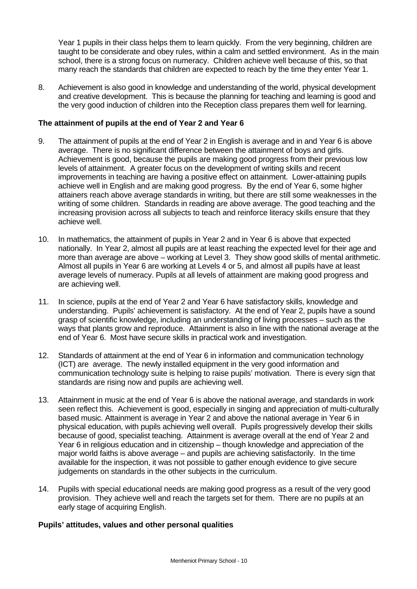Year 1 pupils in their class helps them to learn quickly. From the very beginning, children are taught to be considerate and obey rules, within a calm and settled environment. As in the main school, there is a strong focus on numeracy. Children achieve well because of this, so that many reach the standards that children are expected to reach by the time they enter Year 1.

8. Achievement is also good in knowledge and understanding of the world, physical development and creative development. This is because the planning for teaching and learning is good and the very good induction of children into the Reception class prepares them well for learning.

### **The attainment of pupils at the end of Year 2 and Year 6**

- 9. The attainment of pupils at the end of Year 2 in English is average and in and Year 6 is above average. There is no significant difference between the attainment of boys and girls. Achievement is good, because the pupils are making good progress from their previous low levels of attainment. A greater focus on the development of writing skills and recent improvements in teaching are having a positive effect on attainment. Lower-attaining pupils achieve well in English and are making good progress. By the end of Year 6, some higher attainers reach above average standards in writing, but there are still some weaknesses in the writing of some children. Standards in reading are above average. The good teaching and the increasing provision across all subjects to teach and reinforce literacy skills ensure that they achieve well.
- 10. In mathematics, the attainment of pupils in Year 2 and in Year 6 is above that expected nationally. In Year 2, almost all pupils are at least reaching the expected level for their age and more than average are above – working at Level 3. They show good skills of mental arithmetic. Almost all pupils in Year 6 are working at Levels 4 or 5, and almost all pupils have at least average levels of numeracy. Pupils at all levels of attainment are making good progress and are achieving well.
- 11. In science, pupils at the end of Year 2 and Year 6 have satisfactory skills, knowledge and understanding. Pupils' achievement is satisfactory. At the end of Year 2, pupils have a sound grasp of scientific knowledge, including an understanding of living processes – such as the ways that plants grow and reproduce. Attainment is also in line with the national average at the end of Year 6. Most have secure skills in practical work and investigation.
- 12. Standards of attainment at the end of Year 6 in information and communication technology (ICT) are average. The newly installed equipment in the very good information and communication technology suite is helping to raise pupils' motivation. There is every sign that standards are rising now and pupils are achieving well.
- 13. Attainment in music at the end of Year 6 is above the national average, and standards in work seen reflect this. Achievement is good, especially in singing and appreciation of multi-culturally based music. Attainment is average in Year 2 and above the national average in Year 6 in physical education, with pupils achieving well overall. Pupils progressively develop their skills because of good, specialist teaching. Attainment is average overall at the end of Year 2 and Year 6 in religious education and in citizenship – though knowledge and appreciation of the major world faiths is above average – and pupils are achieving satisfactorily. In the time available for the inspection, it was not possible to gather enough evidence to give secure judgements on standards in the other subjects in the curriculum.
- 14. Pupils with special educational needs are making good progress as a result of the very good provision. They achieve well and reach the targets set for them. There are no pupils at an early stage of acquiring English.

# **Pupils' attitudes, values and other personal qualities**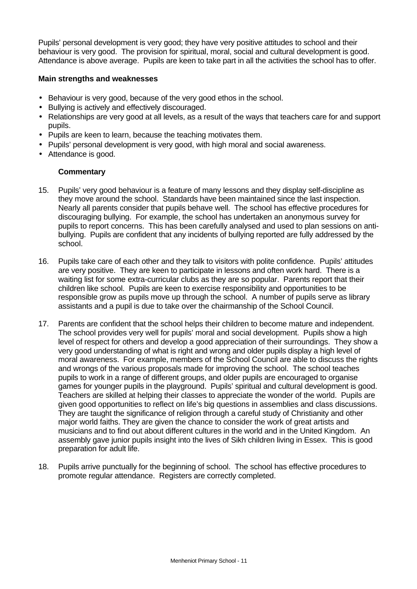Pupils' personal development is very good; they have very positive attitudes to school and their behaviour is very good. The provision for spiritual, moral, social and cultural development is good. Attendance is above average. Pupils are keen to take part in all the activities the school has to offer.

# **Main strengths and weaknesses**

- Behaviour is very good, because of the very good ethos in the school.
- Bullying is actively and effectively discouraged.
- Relationships are very good at all levels, as a result of the ways that teachers care for and support pupils.
- Pupils are keen to learn, because the teaching motivates them.
- Pupils' personal development is very good, with high moral and social awareness.
- Attendance is good.

- 15. Pupils' very good behaviour is a feature of many lessons and they display self-discipline as they move around the school. Standards have been maintained since the last inspection. Nearly all parents consider that pupils behave well. The school has effective procedures for discouraging bullying. For example, the school has undertaken an anonymous survey for pupils to report concerns. This has been carefully analysed and used to plan sessions on antibullying. Pupils are confident that any incidents of bullying reported are fully addressed by the school.
- 16. Pupils take care of each other and they talk to visitors with polite confidence. Pupils' attitudes are very positive. They are keen to participate in lessons and often work hard. There is a waiting list for some extra-curricular clubs as they are so popular. Parents report that their children like school. Pupils are keen to exercise responsibility and opportunities to be responsible grow as pupils move up through the school. A number of pupils serve as library assistants and a pupil is due to take over the chairmanship of the School Council.
- 17. Parents are confident that the school helps their children to become mature and independent. The school provides very well for pupils' moral and social development. Pupils show a high level of respect for others and develop a good appreciation of their surroundings. They show a very good understanding of what is right and wrong and older pupils display a high level of moral awareness. For example, members of the School Council are able to discuss the rights and wrongs of the various proposals made for improving the school. The school teaches pupils to work in a range of different groups, and older pupils are encouraged to organise games for younger pupils in the playground. Pupils' spiritual and cultural development is good. Teachers are skilled at helping their classes to appreciate the wonder of the world. Pupils are given good opportunities to reflect on life's big questions in assemblies and class discussions. They are taught the significance of religion through a careful study of Christianity and other major world faiths. They are given the chance to consider the work of great artists and musicians and to find out about different cultures in the world and in the United Kingdom. An assembly gave junior pupils insight into the lives of Sikh children living in Essex. This is good preparation for adult life.
- 18. Pupils arrive punctually for the beginning of school. The school has effective procedures to promote regular attendance. Registers are correctly completed.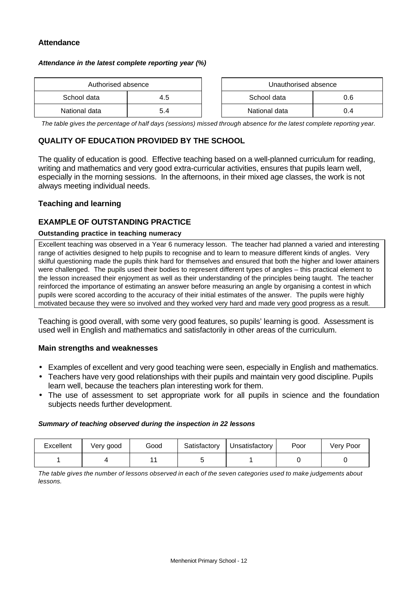### **Attendance**

#### *Attendance in the latest complete reporting year (%)*

| Authorised absence |     | Unauthorised absence |     |
|--------------------|-----|----------------------|-----|
| School data        | 4.5 | School data          | 0.6 |
| National data      | 5.4 | National data        | 0.4 |

*The table gives the percentage of half days (sessions) missed through absence for the latest complete reporting year.*

# **QUALITY OF EDUCATION PROVIDED BY THE SCHOOL**

The quality of education is good. Effective teaching based on a well-planned curriculum for reading, writing and mathematics and very good extra-curricular activities, ensures that pupils learn well, especially in the morning sessions. In the afternoons, in their mixed age classes, the work is not always meeting individual needs.

### **Teaching and learning**

### **EXAMPLE OF OUTSTANDING PRACTICE**

#### **Outstanding practice in teaching numeracy**

Excellent teaching was observed in a Year 6 numeracy lesson. The teacher had planned a varied and interesting range of activities designed to help pupils to recognise and to learn to measure different kinds of angles. Very skilful questioning made the pupils think hard for themselves and ensured that both the higher and lower attainers were challenged. The pupils used their bodies to represent different types of angles – this practical element to the lesson increased their enjoyment as well as their understanding of the principles being taught. The teacher reinforced the importance of estimating an answer before measuring an angle by organising a contest in which pupils were scored according to the accuracy of their initial estimates of the answer. The pupils were highly motivated because they were so involved and they worked very hard and made very good progress as a result.

Teaching is good overall, with some very good features, so pupils' learning is good. Assessment is used well in English and mathematics and satisfactorily in other areas of the curriculum.

#### **Main strengths and weaknesses**

- Examples of excellent and very good teaching were seen, especially in English and mathematics.
- Teachers have very good relationships with their pupils and maintain very good discipline. Pupils learn well, because the teachers plan interesting work for them.
- The use of assessment to set appropriate work for all pupils in science and the foundation subjects needs further development.

#### *Summary of teaching observed during the inspection in 22 lessons*

| Excellent | Very good | Good | Satisfactory | Unsatisfactory | Poor | Very Poor |
|-----------|-----------|------|--------------|----------------|------|-----------|
|           |           |      |              |                |      |           |

*The table gives the number of lessons observed in each of the seven categories used to make judgements about lessons.*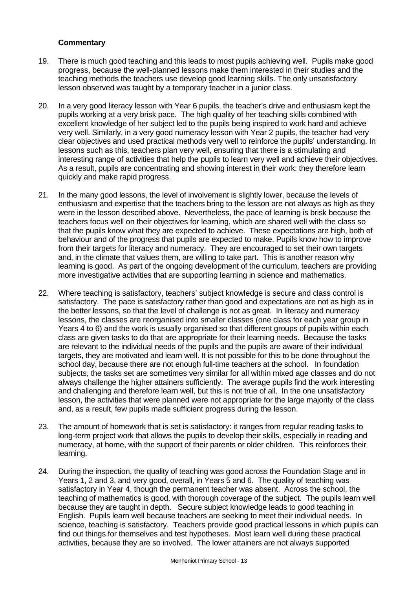- 19. There is much good teaching and this leads to most pupils achieving well. Pupils make good progress, because the well-planned lessons make them interested in their studies and the teaching methods the teachers use develop good learning skills. The only unsatisfactory lesson observed was taught by a temporary teacher in a junior class.
- 20. In a very good literacy lesson with Year 6 pupils, the teacher's drive and enthusiasm kept the pupils working at a very brisk pace. The high quality of her teaching skills combined with excellent knowledge of her subject led to the pupils being inspired to work hard and achieve very well. Similarly, in a very good numeracy lesson with Year 2 pupils, the teacher had very clear objectives and used practical methods very well to reinforce the pupils' understanding. In lessons such as this, teachers plan very well, ensuring that there is a stimulating and interesting range of activities that help the pupils to learn very well and achieve their objectives. As a result, pupils are concentrating and showing interest in their work: they therefore learn quickly and make rapid progress.
- 21. In the many good lessons, the level of involvement is slightly lower, because the levels of enthusiasm and expertise that the teachers bring to the lesson are not always as high as they were in the lesson described above. Nevertheless, the pace of learning is brisk because the teachers focus well on their objectives for learning, which are shared well with the class so that the pupils know what they are expected to achieve. These expectations are high, both of behaviour and of the progress that pupils are expected to make. Pupils know how to improve from their targets for literacy and numeracy. They are encouraged to set their own targets and, in the climate that values them, are willing to take part. This is another reason why learning is good. As part of the ongoing development of the curriculum, teachers are providing more investigative activities that are supporting learning in science and mathematics.
- 22. Where teaching is satisfactory, teachers' subject knowledge is secure and class control is satisfactory. The pace is satisfactory rather than good and expectations are not as high as in the better lessons, so that the level of challenge is not as great. In literacy and numeracy lessons, the classes are reorganised into smaller classes (one class for each year group in Years 4 to 6) and the work is usually organised so that different groups of pupils within each class are given tasks to do that are appropriate for their learning needs. Because the tasks are relevant to the individual needs of the pupils and the pupils are aware of their individual targets, they are motivated and learn well. It is not possible for this to be done throughout the school day, because there are not enough full-time teachers at the school. In foundation subjects, the tasks set are sometimes very similar for all within mixed age classes and do not always challenge the higher attainers sufficiently. The average pupils find the work interesting and challenging and therefore learn well, but this is not true of all. In the one unsatisfactory lesson, the activities that were planned were not appropriate for the large majority of the class and, as a result, few pupils made sufficient progress during the lesson.
- 23. The amount of homework that is set is satisfactory: it ranges from regular reading tasks to long-term project work that allows the pupils to develop their skills, especially in reading and numeracy, at home, with the support of their parents or older children. This reinforces their learning.
- 24. During the inspection, the quality of teaching was good across the Foundation Stage and in Years 1, 2 and 3, and very good, overall, in Years 5 and 6. The quality of teaching was satisfactory in Year 4, though the permanent teacher was absent. Across the school, the teaching of mathematics is good, with thorough coverage of the subject. The pupils learn well because they are taught in depth. Secure subject knowledge leads to good teaching in English. Pupils learn well because teachers are seeking to meet their individual needs. In science, teaching is satisfactory. Teachers provide good practical lessons in which pupils can find out things for themselves and test hypotheses. Most learn well during these practical activities, because they are so involved. The lower attainers are not always supported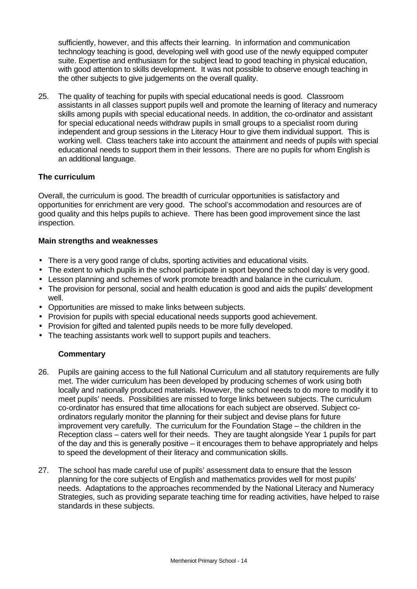sufficiently, however, and this affects their learning. In information and communication technology teaching is good, developing well with good use of the newly equipped computer suite. Expertise and enthusiasm for the subject lead to good teaching in physical education, with good attention to skills development. It was not possible to observe enough teaching in the other subjects to give judgements on the overall quality.

25. The quality of teaching for pupils with special educational needs is good. Classroom assistants in all classes support pupils well and promote the learning of literacy and numeracy skills among pupils with special educational needs. In addition, the co-ordinator and assistant for special educational needs withdraw pupils in small groups to a specialist room during independent and group sessions in the Literacy Hour to give them individual support. This is working well. Class teachers take into account the attainment and needs of pupils with special educational needs to support them in their lessons. There are no pupils for whom English is an additional language.

# **The curriculum**

Overall, the curriculum is good. The breadth of curricular opportunities is satisfactory and opportunities for enrichment are very good. The school's accommodation and resources are of good quality and this helps pupils to achieve. There has been good improvement since the last inspection.

# **Main strengths and weaknesses**

- There is a very good range of clubs, sporting activities and educational visits.
- The extent to which pupils in the school participate in sport beyond the school day is very good.
- Lesson planning and schemes of work promote breadth and balance in the curriculum.
- The provision for personal, social and health education is good and aids the pupils' development well.
- Opportunities are missed to make links between subjects.
- Provision for pupils with special educational needs supports good achievement.
- Provision for gifted and talented pupils needs to be more fully developed.
- The teaching assistants work well to support pupils and teachers.

- 26. Pupils are gaining access to the full National Curriculum and all statutory requirements are fully met. The wider curriculum has been developed by producing schemes of work using both locally and nationally produced materials. However, the school needs to do more to modify it to meet pupils' needs. Possibilities are missed to forge links between subjects. The curriculum co-ordinator has ensured that time allocations for each subject are observed. Subject coordinators regularly monitor the planning for their subject and devise plans for future improvement very carefully. The curriculum for the Foundation Stage – the children in the Reception class – caters well for their needs. They are taught alongside Year 1 pupils for part of the day and this is generally positive – it encourages them to behave appropriately and helps to speed the development of their literacy and communication skills.
- 27. The school has made careful use of pupils' assessment data to ensure that the lesson planning for the core subjects of English and mathematics provides well for most pupils' needs. Adaptations to the approaches recommended by the National Literacy and Numeracy Strategies, such as providing separate teaching time for reading activities, have helped to raise standards in these subjects.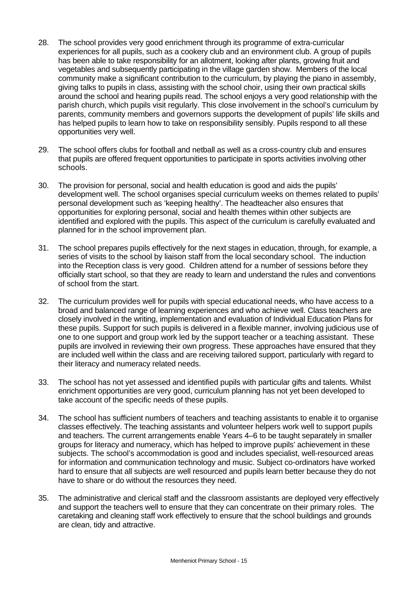- 28. The school provides very good enrichment through its programme of extra-curricular experiences for all pupils, such as a cookery club and an environment club. A group of pupils has been able to take responsibility for an allotment, looking after plants, growing fruit and vegetables and subsequently participating in the village garden show. Members of the local community make a significant contribution to the curriculum, by playing the piano in assembly, giving talks to pupils in class, assisting with the school choir, using their own practical skills around the school and hearing pupils read. The school enjoys a very good relationship with the parish church, which pupils visit regularly. This close involvement in the school's curriculum by parents, community members and governors supports the development of pupils' life skills and has helped pupils to learn how to take on responsibility sensibly. Pupils respond to all these opportunities very well.
- 29. The school offers clubs for football and netball as well as a cross-country club and ensures that pupils are offered frequent opportunities to participate in sports activities involving other schools.
- 30. The provision for personal, social and health education is good and aids the pupils' development well. The school organises special curriculum weeks on themes related to pupils' personal development such as 'keeping healthy'. The headteacher also ensures that opportunities for exploring personal, social and health themes within other subjects are identified and explored with the pupils. This aspect of the curriculum is carefully evaluated and planned for in the school improvement plan.
- 31. The school prepares pupils effectively for the next stages in education, through, for example, a series of visits to the school by liaison staff from the local secondary school. The induction into the Reception class is very good. Children attend for a number of sessions before they officially start school, so that they are ready to learn and understand the rules and conventions of school from the start.
- 32. The curriculum provides well for pupils with special educational needs, who have access to a broad and balanced range of learning experiences and who achieve well. Class teachers are closely involved in the writing, implementation and evaluation of Individual Education Plans for these pupils. Support for such pupils is delivered in a flexible manner, involving judicious use of one to one support and group work led by the support teacher or a teaching assistant. These pupils are involved in reviewing their own progress. These approaches have ensured that they are included well within the class and are receiving tailored support, particularly with regard to their literacy and numeracy related needs.
- 33. The school has not yet assessed and identified pupils with particular gifts and talents. Whilst enrichment opportunities are very good, curriculum planning has not yet been developed to take account of the specific needs of these pupils.
- 34. The school has sufficient numbers of teachers and teaching assistants to enable it to organise classes effectively. The teaching assistants and volunteer helpers work well to support pupils and teachers. The current arrangements enable Years 4–6 to be taught separately in smaller groups for literacy and numeracy, which has helped to improve pupils' achievement in these subjects. The school's accommodation is good and includes specialist, well-resourced areas for information and communication technology and music. Subject co-ordinators have worked hard to ensure that all subjects are well resourced and pupils learn better because they do not have to share or do without the resources they need.
- 35. The administrative and clerical staff and the classroom assistants are deployed very effectively and support the teachers well to ensure that they can concentrate on their primary roles. The caretaking and cleaning staff work effectively to ensure that the school buildings and grounds are clean, tidy and attractive.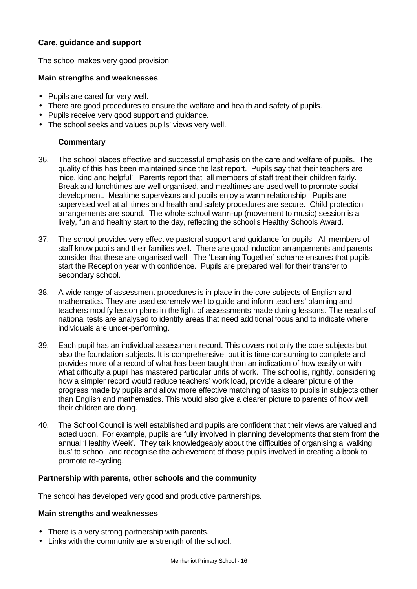# **Care, guidance and support**

The school makes very good provision.

#### **Main strengths and weaknesses**

- Pupils are cared for very well.
- There are good procedures to ensure the welfare and health and safety of pupils.
- Pupils receive very good support and guidance.
- The school seeks and values pupils' views very well.

# **Commentary**

- 36. The school places effective and successful emphasis on the care and welfare of pupils. The quality of this has been maintained since the last report. Pupils say that their teachers are 'nice, kind and helpful'. Parents report that all members of staff treat their children fairly. Break and lunchtimes are well organised, and mealtimes are used well to promote social development. Mealtime supervisors and pupils enjoy a warm relationship. Pupils are supervised well at all times and health and safety procedures are secure. Child protection arrangements are sound. The whole-school warm-up (movement to music) session is a lively, fun and healthy start to the day, reflecting the school's Healthy Schools Award.
- 37. The school provides very effective pastoral support and guidance for pupils. All members of staff know pupils and their families well. There are good induction arrangements and parents consider that these are organised well. The 'Learning Together' scheme ensures that pupils start the Reception year with confidence. Pupils are prepared well for their transfer to secondary school.
- 38. A wide range of assessment procedures is in place in the core subjects of English and mathematics. They are used extremely well to guide and inform teachers' planning and teachers modify lesson plans in the light of assessments made during lessons. The results of national tests are analysed to identify areas that need additional focus and to indicate where individuals are under-performing.
- 39. Each pupil has an individual assessment record. This covers not only the core subjects but also the foundation subjects. It is comprehensive, but it is time-consuming to complete and provides more of a record of what has been taught than an indication of how easily or with what difficulty a pupil has mastered particular units of work. The school is, rightly, considering how a simpler record would reduce teachers' work load, provide a clearer picture of the progress made by pupils and allow more effective matching of tasks to pupils in subjects other than English and mathematics. This would also give a clearer picture to parents of how well their children are doing.
- 40. The School Council is well established and pupils are confident that their views are valued and acted upon. For example, pupils are fully involved in planning developments that stem from the annual 'Healthy Week'. They talk knowledgeably about the difficulties of organising a 'walking bus' to school, and recognise the achievement of those pupils involved in creating a book to promote re-cycling.

## **Partnership with parents, other schools and the community**

The school has developed very good and productive partnerships.

### **Main strengths and weaknesses**

- There is a very strong partnership with parents.
- Links with the community are a strength of the school.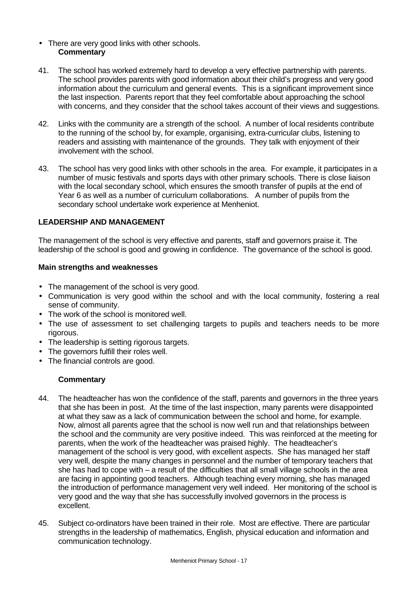- There are very good links with other schools. **Commentary**
- 41. The school has worked extremely hard to develop a very effective partnership with parents. The school provides parents with good information about their child's progress and very good information about the curriculum and general events. This is a significant improvement since the last inspection. Parents report that they feel comfortable about approaching the school with concerns, and they consider that the school takes account of their views and suggestions.
- 42. Links with the community are a strength of the school. A number of local residents contribute to the running of the school by, for example, organising, extra-curricular clubs, listening to readers and assisting with maintenance of the grounds. They talk with enjoyment of their involvement with the school.
- 43. The school has very good links with other schools in the area. For example, it participates in a number of music festivals and sports days with other primary schools. There is close liaison with the local secondary school, which ensures the smooth transfer of pupils at the end of Year 6 as well as a number of curriculum collaborations. A number of pupils from the secondary school undertake work experience at Menheniot.

### **LEADERSHIP AND MANAGEMENT**

The management of the school is very effective and parents, staff and governors praise it. The leadership of the school is good and growing in confidence. The governance of the school is good.

#### **Main strengths and weaknesses**

- The management of the school is very good.
- Communication is very good within the school and with the local community, fostering a real sense of community.
- The work of the school is monitored well.
- The use of assessment to set challenging targets to pupils and teachers needs to be more rigorous.
- The leadership is setting rigorous targets.
- The governors fulfill their roles well.
- The financial controls are good.

- 44. The headteacher has won the confidence of the staff, parents and governors in the three years that she has been in post. At the time of the last inspection, many parents were disappointed at what they saw as a lack of communication between the school and home, for example. Now, almost all parents agree that the school is now well run and that relationships between the school and the community are very positive indeed. This was reinforced at the meeting for parents, when the work of the headteacher was praised highly. The headteacher's management of the school is very good, with excellent aspects. She has managed her staff very well, despite the many changes in personnel and the number of temporary teachers that she has had to cope with – a result of the difficulties that all small village schools in the area are facing in appointing good teachers. Although teaching every morning, she has managed the introduction of performance management very well indeed. Her monitoring of the school is very good and the way that she has successfully involved governors in the process is excellent.
- 45. Subject co-ordinators have been trained in their role. Most are effective. There are particular strengths in the leadership of mathematics, English, physical education and information and communication technology.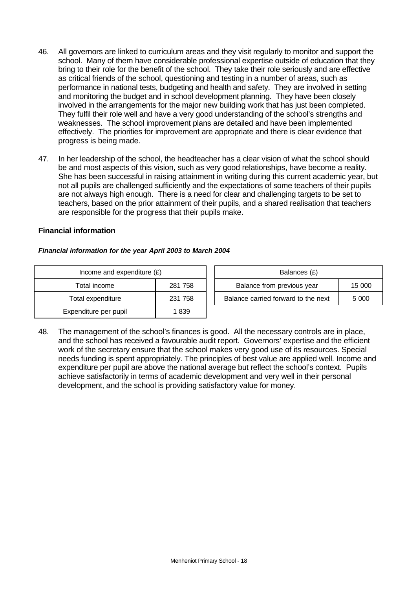- 46. All governors are linked to curriculum areas and they visit regularly to monitor and support the school. Many of them have considerable professional expertise outside of education that they bring to their role for the benefit of the school. They take their role seriously and are effective as critical friends of the school, questioning and testing in a number of areas, such as performance in national tests, budgeting and health and safety. They are involved in setting and monitoring the budget and in school development planning. They have been closely involved in the arrangements for the major new building work that has just been completed. They fulfil their role well and have a very good understanding of the school's strengths and weaknesses. The school improvement plans are detailed and have been implemented effectively. The priorities for improvement are appropriate and there is clear evidence that progress is being made.
- 47. In her leadership of the school, the headteacher has a clear vision of what the school should be and most aspects of this vision, such as very good relationships, have become a reality. She has been successful in raising attainment in writing during this current academic year, but not all pupils are challenged sufficiently and the expectations of some teachers of their pupils are not always high enough. There is a need for clear and challenging targets to be set to teachers, based on the prior attainment of their pupils, and a shared realisation that teachers are responsible for the progress that their pupils make.

#### **Financial information**

#### *Financial information for the year April 2003 to March 2004*

| Income and expenditure $(E)$ |         | Balances (£)                     |
|------------------------------|---------|----------------------------------|
| Total income                 | 281 758 | Balance from previous year       |
| Total expenditure            | 231 758 | Balance carried forward to the i |
| Expenditure per pupil        | 1839    |                                  |

| Income and expenditure $(E)$ |         | Balances (£)                         |         |
|------------------------------|---------|--------------------------------------|---------|
| Total income                 | 281 758 | Balance from previous year<br>15 000 |         |
| Total expenditure            | 231 758 | Balance carried forward to the next  | 5 0 0 0 |

48. The management of the school's finances is good. All the necessary controls are in place, and the school has received a favourable audit report. Governors' expertise and the efficient work of the secretary ensure that the school makes very good use of its resources. Special needs funding is spent appropriately. The principles of best value are applied well. Income and expenditure per pupil are above the national average but reflect the school's context. Pupils achieve satisfactorily in terms of academic development and very well in their personal development, and the school is providing satisfactory value for money.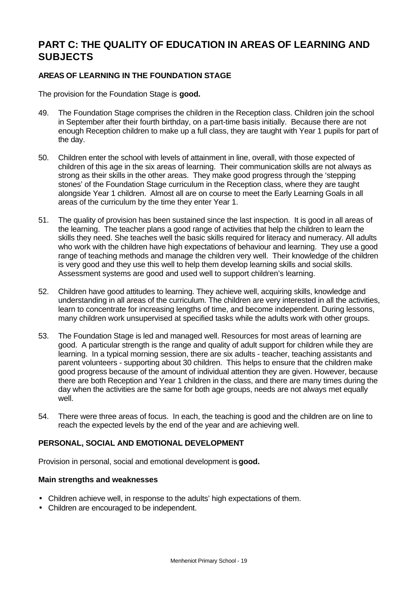# **PART C: THE QUALITY OF EDUCATION IN AREAS OF LEARNING AND SUBJECTS**

# **AREAS OF LEARNING IN THE FOUNDATION STAGE**

The provision for the Foundation Stage is **good.**

- 49. The Foundation Stage comprises the children in the Reception class. Children join the school in September after their fourth birthday, on a part-time basis initially. Because there are not enough Reception children to make up a full class, they are taught with Year 1 pupils for part of the day.
- 50. Children enter the school with levels of attainment in line, overall, with those expected of children of this age in the six areas of learning. Their communication skills are not always as strong as their skills in the other areas. They make good progress through the 'stepping stones' of the Foundation Stage curriculum in the Reception class, where they are taught alongside Year 1 children. Almost all are on course to meet the Early Learning Goals in all areas of the curriculum by the time they enter Year 1.
- 51. The quality of provision has been sustained since the last inspection. It is good in all areas of the learning. The teacher plans a good range of activities that help the children to learn the skills they need. She teaches well the basic skills required for literacy and numeracy. All adults who work with the children have high expectations of behaviour and learning. They use a good range of teaching methods and manage the children very well. Their knowledge of the children is very good and they use this well to help them develop learning skills and social skills. Assessment systems are good and used well to support children's learning.
- 52. Children have good attitudes to learning. They achieve well, acquiring skills, knowledge and understanding in all areas of the curriculum. The children are very interested in all the activities, learn to concentrate for increasing lengths of time, and become independent. During lessons, many children work unsupervised at specified tasks while the adults work with other groups.
- 53. The Foundation Stage is led and managed well. Resources for most areas of learning are good. A particular strength is the range and quality of adult support for children while they are learning. In a typical morning session, there are six adults - teacher, teaching assistants and parent volunteers - supporting about 30 children. This helps to ensure that the children make good progress because of the amount of individual attention they are given. However, because there are both Reception and Year 1 children in the class, and there are many times during the day when the activities are the same for both age groups, needs are not always met equally well.
- 54. There were three areas of focus. In each, the teaching is good and the children are on line to reach the expected levels by the end of the year and are achieving well.

## **PERSONAL, SOCIAL AND EMOTIONAL DEVELOPMENT**

Provision in personal, social and emotional development is **good.**

#### **Main strengths and weaknesses**

- Children achieve well, in response to the adults' high expectations of them.
- Children are encouraged to be independent.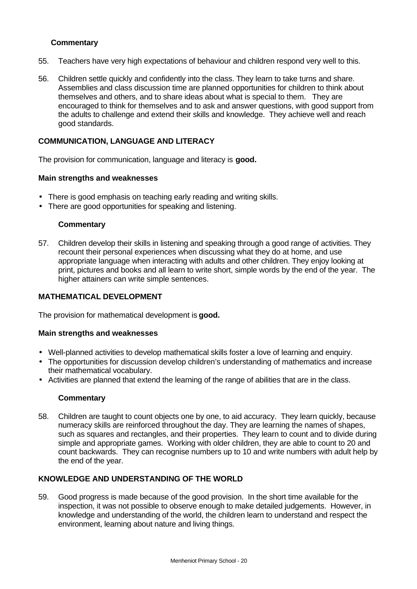# **Commentary**

- 55. Teachers have very high expectations of behaviour and children respond very well to this.
- 56. Children settle quickly and confidently into the class. They learn to take turns and share. Assemblies and class discussion time are planned opportunities for children to think about themselves and others, and to share ideas about what is special to them. They are encouraged to think for themselves and to ask and answer questions, with good support from the adults to challenge and extend their skills and knowledge. They achieve well and reach good standards.

### **COMMUNICATION, LANGUAGE AND LITERACY**

The provision for communication, language and literacy is **good.**

#### **Main strengths and weaknesses**

- There is good emphasis on teaching early reading and writing skills.
- There are good opportunities for speaking and listening.

#### **Commentary**

57. Children develop their skills in listening and speaking through a good range of activities. They recount their personal experiences when discussing what they do at home, and use appropriate language when interacting with adults and other children. They enjoy looking at print, pictures and books and all learn to write short, simple words by the end of the year. The higher attainers can write simple sentences.

#### **MATHEMATICAL DEVELOPMENT**

The provision for mathematical development is **good.**

#### **Main strengths and weaknesses**

- Well-planned activities to develop mathematical skills foster a love of learning and enquiry.
- The opportunities for discussion develop children's understanding of mathematics and increase their mathematical vocabulary.
- Activities are planned that extend the learning of the range of abilities that are in the class.

#### **Commentary**

58. Children are taught to count objects one by one, to aid accuracy. They learn quickly, because numeracy skills are reinforced throughout the day. They are learning the names of shapes, such as squares and rectangles, and their properties. They learn to count and to divide during simple and appropriate games. Working with older children, they are able to count to 20 and count backwards. They can recognise numbers up to 10 and write numbers with adult help by the end of the year.

## **KNOWLEDGE AND UNDERSTANDING OF THE WORLD**

59. Good progress is made because of the good provision. In the short time available for the inspection, it was not possible to observe enough to make detailed judgements. However, in knowledge and understanding of the world, the children learn to understand and respect the environment, learning about nature and living things.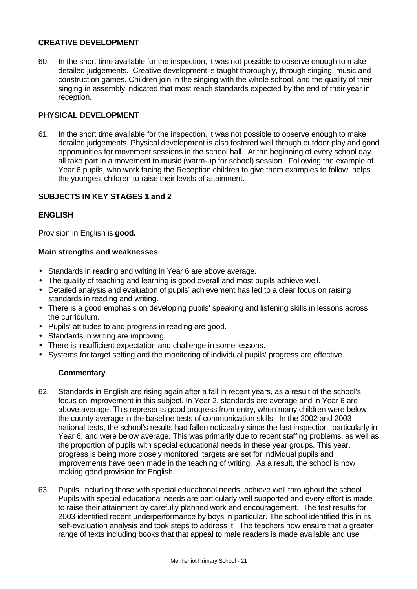# **CREATIVE DEVELOPMENT**

60. In the short time available for the inspection, it was not possible to observe enough to make detailed judgements. Creative development is taught thoroughly, through singing, music and construction games. Children join in the singing with the whole school, and the quality of their singing in assembly indicated that most reach standards expected by the end of their year in reception*.*

## **PHYSICAL DEVELOPMENT**

61. In the short time available for the inspection, it was not possible to observe enough to make detailed judgements. Physical development is also fostered well through outdoor play and good opportunities for movement sessions in the school hall. At the beginning of every school day, all take part in a movement to music (warm-up for school) session. Following the example of Year 6 pupils, who work facing the Reception children to give them examples to follow, helps the youngest children to raise their levels of attainment.

## **SUBJECTS IN KEY STAGES 1 and 2**

# **ENGLISH**

Provision in English is **good.**

### **Main strengths and weaknesses**

- Standards in reading and writing in Year 6 are above average.
- The quality of teaching and learning is good overall and most pupils achieve well.
- Detailed analysis and evaluation of pupils' achievement has led to a clear focus on raising standards in reading and writing.
- There is a good emphasis on developing pupils' speaking and listening skills in lessons across the curriculum.
- Pupils' attitudes to and progress in reading are good.
- Standards in writing are improving.
- There is insufficient expectation and challenge in some lessons.
- Systems for target setting and the monitoring of individual pupils' progress are effective.

- 62. Standards in English are rising again after a fall in recent years, as a result of the school's focus on improvement in this subject. In Year 2, standards are average and in Year 6 are above average. This represents good progress from entry, when many children were below the county average in the baseline tests of communication skills. In the 2002 and 2003 national tests, the school's results had fallen noticeably since the last inspection, particularly in Year 6, and were below average. This was primarily due to recent staffing problems, as well as the proportion of pupils with special educational needs in these year groups. This year, progress is being more closely monitored, targets are set for individual pupils and improvements have been made in the teaching of writing. As a result, the school is now making good provision for English.
- 63. Pupils, including those with special educational needs, achieve well throughout the school. Pupils with special educational needs are particularly well supported and every effort is made to raise their attainment by carefully planned work and encouragement. The test results for 2003 identified recent underperformance by boys in particular. The school identified this in its self-evaluation analysis and took steps to address it. The teachers now ensure that a greater range of texts including books that that appeal to male readers is made available and use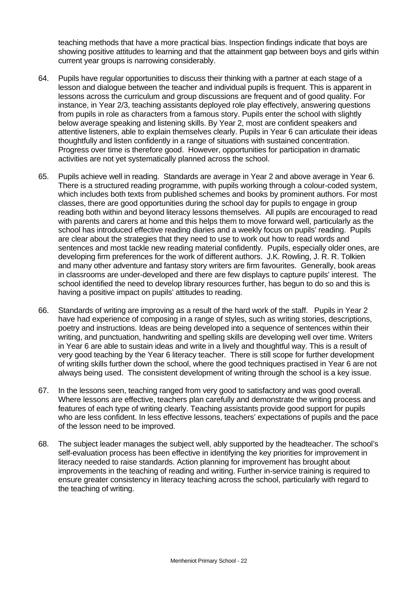teaching methods that have a more practical bias. Inspection findings indicate that boys are showing positive attitudes to learning and that the attainment gap between boys and girls within current year groups is narrowing considerably.

- 64. Pupils have regular opportunities to discuss their thinking with a partner at each stage of a lesson and dialogue between the teacher and individual pupils is frequent. This is apparent in lessons across the curriculum and group discussions are frequent and of good quality. For instance, in Year 2/3, teaching assistants deployed role play effectively, answering questions from pupils in role as characters from a famous story. Pupils enter the school with slightly below average speaking and listening skills. By Year 2, most are confident speakers and attentive listeners, able to explain themselves clearly. Pupils in Year 6 can articulate their ideas thoughtfully and listen confidently in a range of situations with sustained concentration. Progress over time is therefore good. However, opportunities for participation in dramatic activities are not yet systematically planned across the school.
- 65. Pupils achieve well in reading. Standards are average in Year 2 and above average in Year 6. There is a structured reading programme, with pupils working through a colour-coded system, which includes both texts from published schemes and books by prominent authors. For most classes, there are good opportunities during the school day for pupils to engage in group reading both within and beyond literacy lessons themselves. All pupils are encouraged to read with parents and carers at home and this helps them to move forward well, particularly as the school has introduced effective reading diaries and a weekly focus on pupils' reading. Pupils are clear about the strategies that they need to use to work out how to read words and sentences and most tackle new reading material confidently. Pupils, especially older ones, are developing firm preferences for the work of different authors. J.K. Rowling, J. R. R. Tolkien and many other adventure and fantasy story writers are firm favourites. Generally, book areas in classrooms are under-developed and there are few displays to capture pupils' interest. The school identified the need to develop library resources further, has begun to do so and this is having a positive impact on pupils' attitudes to reading.
- 66. Standards of writing are improving as a result of the hard work of the staff. Pupils in Year 2 have had experience of composing in a range of styles, such as writing stories, descriptions, poetry and instructions. Ideas are being developed into a sequence of sentences within their writing, and punctuation, handwriting and spelling skills are developing well over time. Writers in Year 6 are able to sustain ideas and write in a lively and thoughtful way. This is a result of very good teaching by the Year 6 literacy teacher. There is still scope for further development of writing skills further down the school, where the good techniques practised in Year 6 are not always being used. The consistent development of writing through the school is a key issue.
- 67. In the lessons seen, teaching ranged from very good to satisfactory and was good overall. Where lessons are effective, teachers plan carefully and demonstrate the writing process and features of each type of writing clearly. Teaching assistants provide good support for pupils who are less confident. In less effective lessons, teachers' expectations of pupils and the pace of the lesson need to be improved.
- 68. The subject leader manages the subject well, ably supported by the headteacher. The school's self-evaluation process has been effective in identifying the key priorities for improvement in literacy needed to raise standards. Action planning for improvement has brought about improvements in the teaching of reading and writing. Further in-service training is required to ensure greater consistency in literacy teaching across the school, particularly with regard to the teaching of writing.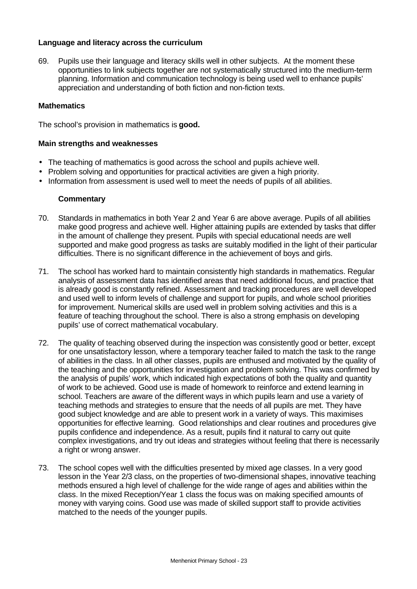#### **Language and literacy across the curriculum**

69. Pupils use their language and literacy skills well in other subjects. At the moment these opportunities to link subjects together are not systematically structured into the medium-term planning. Information and communication technology is being used well to enhance pupils' appreciation and understanding of both fiction and non-fiction texts.

#### **Mathematics**

The school's provision in mathematics is **good.**

#### **Main strengths and weaknesses**

- The teaching of mathematics is good across the school and pupils achieve well.
- Problem solving and opportunities for practical activities are given a high priority.
- Information from assessment is used well to meet the needs of pupils of all abilities.

- 70. Standards in mathematics in both Year 2 and Year 6 are above average. Pupils of all abilities make good progress and achieve well. Higher attaining pupils are extended by tasks that differ in the amount of challenge they present. Pupils with special educational needs are well supported and make good progress as tasks are suitably modified in the light of their particular difficulties. There is no significant difference in the achievement of boys and girls.
- 71. The school has worked hard to maintain consistently high standards in mathematics. Regular analysis of assessment data has identified areas that need additional focus, and practice that is already good is constantly refined. Assessment and tracking procedures are well developed and used well to inform levels of challenge and support for pupils, and whole school priorities for improvement. Numerical skills are used well in problem solving activities and this is a feature of teaching throughout the school. There is also a strong emphasis on developing pupils' use of correct mathematical vocabulary.
- 72. The quality of teaching observed during the inspection was consistently good or better, except for one unsatisfactory lesson, where a temporary teacher failed to match the task to the range of abilities in the class. In all other classes, pupils are enthused and motivated by the quality of the teaching and the opportunities for investigation and problem solving. This was confirmed by the analysis of pupils' work, which indicated high expectations of both the quality and quantity of work to be achieved. Good use is made of homework to reinforce and extend learning in school. Teachers are aware of the different ways in which pupils learn and use a variety of teaching methods and strategies to ensure that the needs of all pupils are met. They have good subject knowledge and are able to present work in a variety of ways. This maximises opportunities for effective learning. Good relationships and clear routines and procedures give pupils confidence and independence. As a result, pupils find it natural to carry out quite complex investigations, and try out ideas and strategies without feeling that there is necessarily a right or wrong answer.
- 73. The school copes well with the difficulties presented by mixed age classes. In a very good lesson in the Year 2/3 class, on the properties of two-dimensional shapes, innovative teaching methods ensured a high level of challenge for the wide range of ages and abilities within the class. In the mixed Reception/Year 1 class the focus was on making specified amounts of money with varying coins. Good use was made of skilled support staff to provide activities matched to the needs of the younger pupils.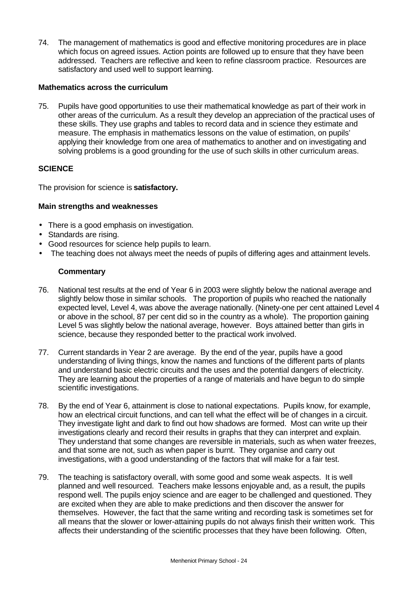74. The management of mathematics is good and effective monitoring procedures are in place which focus on agreed issues. Action points are followed up to ensure that they have been addressed. Teachers are reflective and keen to refine classroom practice. Resources are satisfactory and used well to support learning.

## **Mathematics across the curriculum**

75. Pupils have good opportunities to use their mathematical knowledge as part of their work in other areas of the curriculum. As a result they develop an appreciation of the practical uses of these skills. They use graphs and tables to record data and in science they estimate and measure. The emphasis in mathematics lessons on the value of estimation, on pupils' applying their knowledge from one area of mathematics to another and on investigating and solving problems is a good grounding for the use of such skills in other curriculum areas.

# **SCIENCE**

The provision for science is **satisfactory.**

# **Main strengths and weaknesses**

- There is a good emphasis on investigation.
- Standards are rising.
- Good resources for science help pupils to learn.
- The teaching does not always meet the needs of pupils of differing ages and attainment levels.

- 76. National test results at the end of Year 6 in 2003 were slightly below the national average and slightly below those in similar schools. The proportion of pupils who reached the nationally expected level, Level 4, was above the average nationally. (Ninety-one per cent attained Level 4 or above in the school, 87 per cent did so in the country as a whole). The proportion gaining Level 5 was slightly below the national average, however. Boys attained better than girls in science, because they responded better to the practical work involved.
- 77. Current standards in Year 2 are average. By the end of the year, pupils have a good understanding of living things, know the names and functions of the different parts of plants and understand basic electric circuits and the uses and the potential dangers of electricity. They are learning about the properties of a range of materials and have begun to do simple scientific investigations.
- 78. By the end of Year 6, attainment is close to national expectations. Pupils know, for example, how an electrical circuit functions, and can tell what the effect will be of changes in a circuit. They investigate light and dark to find out how shadows are formed. Most can write up their investigations clearly and record their results in graphs that they can interpret and explain. They understand that some changes are reversible in materials, such as when water freezes, and that some are not, such as when paper is burnt. They organise and carry out investigations, with a good understanding of the factors that will make for a fair test.
- 79. The teaching is satisfactory overall, with some good and some weak aspects. It is well planned and well resourced. Teachers make lessons enjoyable and, as a result, the pupils respond well. The pupils enjoy science and are eager to be challenged and questioned. They are excited when they are able to make predictions and then discover the answer for themselves. However, the fact that the same writing and recording task is sometimes set for all means that the slower or lower-attaining pupils do not always finish their written work. This affects their understanding of the scientific processes that they have been following. Often,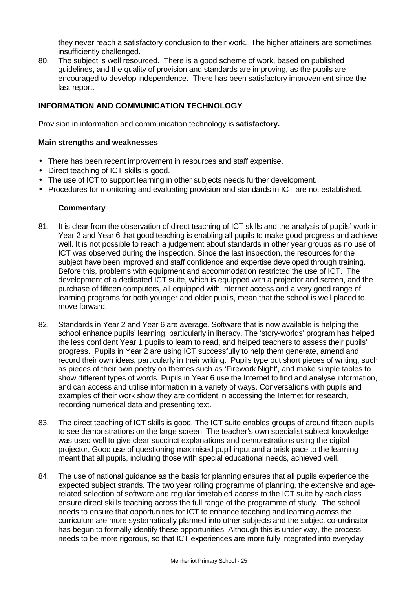they never reach a satisfactory conclusion to their work. The higher attainers are sometimes insufficiently challenged.

80. The subject is well resourced. There is a good scheme of work, based on published guidelines, and the quality of provision and standards are improving, as the pupils are encouraged to develop independence. There has been satisfactory improvement since the last report.

# **INFORMATION AND COMMUNICATION TECHNOLOGY**

Provision in information and communication technology is **satisfactory.**

#### **Main strengths and weaknesses**

- There has been recent improvement in resources and staff expertise.
- Direct teaching of ICT skills is good.
- The use of ICT to support learning in other subjects needs further development.
- Procedures for monitoring and evaluating provision and standards in ICT are not established.

- 81. It is clear from the observation of direct teaching of ICT skills and the analysis of pupils' work in Year 2 and Year 6 that good teaching is enabling all pupils to make good progress and achieve well. It is not possible to reach a judgement about standards in other year groups as no use of ICT was observed during the inspection. Since the last inspection, the resources for the subject have been improved and staff confidence and expertise developed through training. Before this, problems with equipment and accommodation restricted the use of ICT. The development of a dedicated ICT suite, which is equipped with a projector and screen, and the purchase of fifteen computers, all equipped with Internet access and a very good range of learning programs for both younger and older pupils, mean that the school is well placed to move forward.
- 82. Standards in Year 2 and Year 6 are average. Software that is now available is helping the school enhance pupils' learning, particularly in literacy. The 'story-worlds' program has helped the less confident Year 1 pupils to learn to read, and helped teachers to assess their pupils' progress. Pupils in Year 2 are using ICT successfully to help them generate, amend and record their own ideas, particularly in their writing. Pupils type out short pieces of writing, such as pieces of their own poetry on themes such as 'Firework Night', and make simple tables to show different types of words. Pupils in Year 6 use the Internet to find and analyse information, and can access and utilise information in a variety of ways. Conversations with pupils and examples of their work show they are confident in accessing the Internet for research, recording numerical data and presenting text.
- 83. The direct teaching of ICT skills is good. The ICT suite enables groups of around fifteen pupils to see demonstrations on the large screen. The teacher's own specialist subject knowledge was used well to give clear succinct explanations and demonstrations using the digital projector. Good use of questioning maximised pupil input and a brisk pace to the learning meant that all pupils, including those with special educational needs, achieved well.
- 84. The use of national guidance as the basis for planning ensures that all pupils experience the expected subject strands. The two year rolling programme of planning, the extensive and agerelated selection of software and regular timetabled access to the ICT suite by each class ensure direct skills teaching across the full range of the programme of study. The school needs to ensure that opportunities for ICT to enhance teaching and learning across the curriculum are more systematically planned into other subjects and the subject co-ordinator has begun to formally identify these opportunities. Although this is under way, the process needs to be more rigorous, so that ICT experiences are more fully integrated into everyday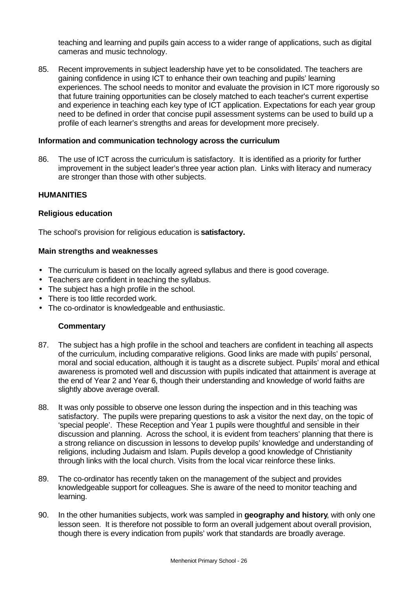teaching and learning and pupils gain access to a wider range of applications, such as digital cameras and music technology.

85. Recent improvements in subject leadership have yet to be consolidated. The teachers are gaining confidence in using ICT to enhance their own teaching and pupils' learning experiences. The school needs to monitor and evaluate the provision in ICT more rigorously so that future training opportunities can be closely matched to each teacher's current expertise and experience in teaching each key type of ICT application. Expectations for each year group need to be defined in order that concise pupil assessment systems can be used to build up a profile of each learner's strengths and areas for development more precisely.

#### **Information and communication technology across the curriculum**

86. The use of ICT across the curriculum is satisfactory. It is identified as a priority for further improvement in the subject leader's three year action plan. Links with literacy and numeracy are stronger than those with other subjects.

#### **HUMANITIES**

#### **Religious education**

The school's provision for religious education is **satisfactory.**

#### **Main strengths and weaknesses**

- The curriculum is based on the locally agreed syllabus and there is good coverage.
- Teachers are confident in teaching the syllabus.
- The subject has a high profile in the school.
- There is too little recorded work.
- The co-ordinator is knowledgeable and enthusiastic.

- 87. The subject has a high profile in the school and teachers are confident in teaching all aspects of the curriculum, including comparative religions. Good links are made with pupils' personal, moral and social education, although it is taught as a discrete subject. Pupils' moral and ethical awareness is promoted well and discussion with pupils indicated that attainment is average at the end of Year 2 and Year 6, though their understanding and knowledge of world faiths are slightly above average overall.
- 88. It was only possible to observe one lesson during the inspection and in this teaching was satisfactory. The pupils were preparing questions to ask a visitor the next day, on the topic of 'special people'. These Reception and Year 1 pupils were thoughtful and sensible in their discussion and planning. Across the school, it is evident from teachers' planning that there is a strong reliance on discussion in lessons to develop pupils' knowledge and understanding of religions, including Judaism and Islam. Pupils develop a good knowledge of Christianity through links with the local church. Visits from the local vicar reinforce these links.
- 89. The co-ordinator has recently taken on the management of the subject and provides knowledgeable support for colleagues. She is aware of the need to monitor teaching and learning.
- 90. In the other humanities subjects, work was sampled in **geography and history**, with only one lesson seen. It is therefore not possible to form an overall judgement about overall provision, though there is every indication from pupils' work that standards are broadly average.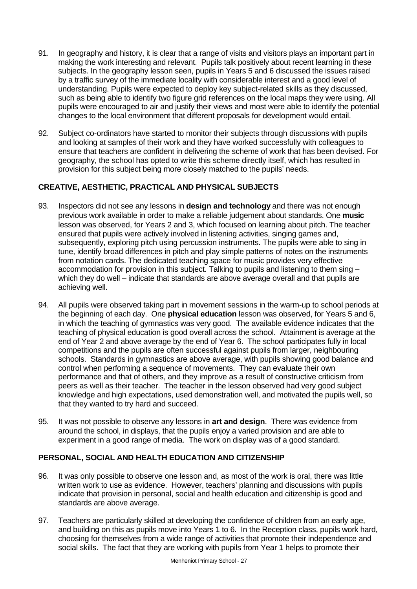- 91. In geography and history, it is clear that a range of visits and visitors plays an important part in making the work interesting and relevant. Pupils talk positively about recent learning in these subjects. In the geography lesson seen, pupils in Years 5 and 6 discussed the issues raised by a traffic survey of the immediate locality with considerable interest and a good level of understanding. Pupils were expected to deploy key subject-related skills as they discussed, such as being able to identify two figure grid references on the local maps they were using. All pupils were encouraged to air and justify their views and most were able to identify the potential changes to the local environment that different proposals for development would entail.
- 92. Subject co-ordinators have started to monitor their subjects through discussions with pupils and looking at samples of their work and they have worked successfully with colleagues to ensure that teachers are confident in delivering the scheme of work that has been devised. For geography, the school has opted to write this scheme directly itself, which has resulted in provision for this subject being more closely matched to the pupils' needs.

# **CREATIVE, AESTHETIC, PRACTICAL AND PHYSICAL SUBJECTS**

- 93. Inspectors did not see any lessons in **design and technology** and there was not enough previous work available in order to make a reliable judgement about standards. One **music** lesson was observed, for Years 2 and 3, which focused on learning about pitch. The teacher ensured that pupils were actively involved in listening activities, singing games and, subsequently, exploring pitch using percussion instruments. The pupils were able to sing in tune, identify broad differences in pitch and play simple patterns of notes on the instruments from notation cards. The dedicated teaching space for music provides very effective accommodation for provision in this subject. Talking to pupils and listening to them sing – which they do well – indicate that standards are above average overall and that pupils are achieving well.
- 94. All pupils were observed taking part in movement sessions in the warm-up to school periods at the beginning of each day. One **physical education** lesson was observed, for Years 5 and 6, in which the teaching of gymnastics was very good. The available evidence indicates that the teaching of physical education is good overall across the school. Attainment is average at the end of Year 2 and above average by the end of Year 6. The school participates fully in local competitions and the pupils are often successful against pupils from larger, neighbouring schools. Standards in gymnastics are above average, with pupils showing good balance and control when performing a sequence of movements. They can evaluate their own performance and that of others, and they improve as a result of constructive criticism from peers as well as their teacher. The teacher in the lesson observed had very good subject knowledge and high expectations, used demonstration well, and motivated the pupils well, so that they wanted to try hard and succeed.
- 95. It was not possible to observe any lessons in **art and design**. There was evidence from around the school, in displays, that the pupils enjoy a varied provision and are able to experiment in a good range of media. The work on display was of a good standard.

# **PERSONAL, SOCIAL AND HEALTH EDUCATION AND CITIZENSHIP**

- 96. It was only possible to observe one lesson and, as most of the work is oral, there was little written work to use as evidence. However, teachers' planning and discussions with pupils indicate that provision in personal, social and health education and citizenship is good and standards are above average.
- 97. Teachers are particularly skilled at developing the confidence of children from an early age, and building on this as pupils move into Years 1 to 6. In the Reception class, pupils work hard, choosing for themselves from a wide range of activities that promote their independence and social skills. The fact that they are working with pupils from Year 1 helps to promote their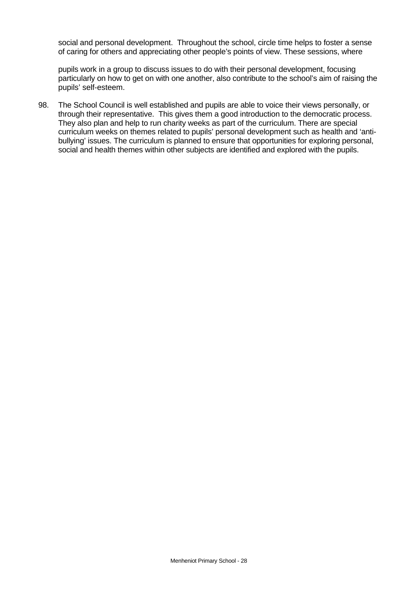social and personal development. Throughout the school, circle time helps to foster a sense of caring for others and appreciating other people's points of view. These sessions, where

pupils work in a group to discuss issues to do with their personal development, focusing particularly on how to get on with one another, also contribute to the school's aim of raising the pupils' self-esteem.

98. The School Council is well established and pupils are able to voice their views personally, or through their representative. This gives them a good introduction to the democratic process. They also plan and help to run charity weeks as part of the curriculum. There are special curriculum weeks on themes related to pupils' personal development such as health and 'antibullying' issues. The curriculum is planned to ensure that opportunities for exploring personal, social and health themes within other subjects are identified and explored with the pupils.